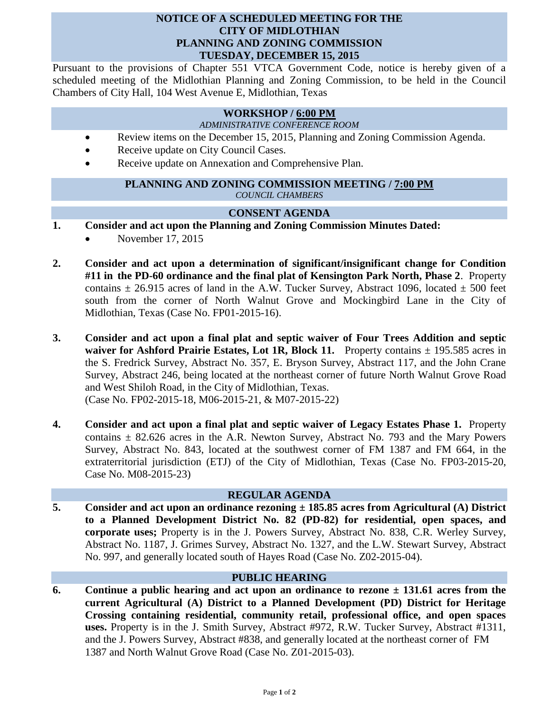# **NOTICE OF A SCHEDULED MEETING FOR THE CITY OF MIDLOTHIAN PLANNING AND ZONING COMMISSION TUESDAY, DECEMBER 15, 2015**

Pursuant to the provisions of Chapter 551 VTCA Government Code, notice is hereby given of a scheduled meeting of the Midlothian Planning and Zoning Commission, to be held in the Council Chambers of City Hall, 104 West Avenue E, Midlothian, Texas

#### **WORKSHOP / 6:00 PM**

*ADMINISTRATIVE CONFERENCE ROOM*

- Review items on the December 15, 2015, Planning and Zoning Commission Agenda.
- Receive update on City Council Cases.
- Receive update on Annexation and Comprehensive Plan.

### **PLANNING AND ZONING COMMISSION MEETING / 7:00 PM** *COUNCIL CHAMBERS*

# **CONSENT AGENDA**

- **1. Consider and act upon the Planning and Zoning Commission Minutes Dated:** 
	- November 17, 2015
- **2. Consider and act upon a determination of significant/insignificant change for Condition #11 in the PD-60 ordinance and the final plat of Kensington Park North, Phase 2**. Property contains  $\pm$  26.915 acres of land in the A.W. Tucker Survey, Abstract 1096, located  $\pm$  500 feet south from the corner of North Walnut Grove and Mockingbird Lane in the City of Midlothian, Texas (Case No. FP01-2015-16).
- **3. Consider and act upon a final plat and septic waiver of Four Trees Addition and septic waiver for Ashford Prairie Estates, Lot 1R, Block 11.** Property contains  $\pm$  195.585 acres in the S. Fredrick Survey, Abstract No. 357, E. Bryson Survey, Abstract 117, and the John Crane Survey, Abstract 246, being located at the northeast corner of future North Walnut Grove Road and West Shiloh Road, in the City of Midlothian, Texas. (Case No. FP02-2015-18, M06-2015-21, & M07-2015-22)
- **4. Consider and act upon a final plat and septic waiver of Legacy Estates Phase 1.** Property contains  $\pm$  82.626 acres in the A.R. Newton Survey, Abstract No. 793 and the Mary Powers Survey, Abstract No. 843, located at the southwest corner of FM 1387 and FM 664, in the extraterritorial jurisdiction (ETJ) of the City of Midlothian, Texas (Case No. FP03-2015-20, Case No. M08-2015-23)

# **REGULAR AGENDA**

**5. Consider and act upon an ordinance rezoning ± 185.85 acres from Agricultural (A) District to a Planned Development District No. 82 (PD-82) for residential, open spaces, and corporate uses;** Property is in the J. Powers Survey, Abstract No. 838, C.R. Werley Survey, Abstract No. 1187, J. Grimes Survey, Abstract No. 1327, and the L.W. Stewart Survey, Abstract No. 997, and generally located south of Hayes Road (Case No. Z02-2015-04).

#### **PUBLIC HEARING**

**6. Continue a public hearing and act upon an ordinance to rezone ± 131.61 acres from the current Agricultural (A) District to a Planned Development (PD) District for Heritage Crossing containing residential, community retail, professional office, and open spaces uses.** Property is in the J. Smith Survey, Abstract #972, R.W. Tucker Survey, Abstract #1311, and the J. Powers Survey, Abstract #838, and generally located at the northeast corner of FM 1387 and North Walnut Grove Road (Case No. Z01-2015-03).